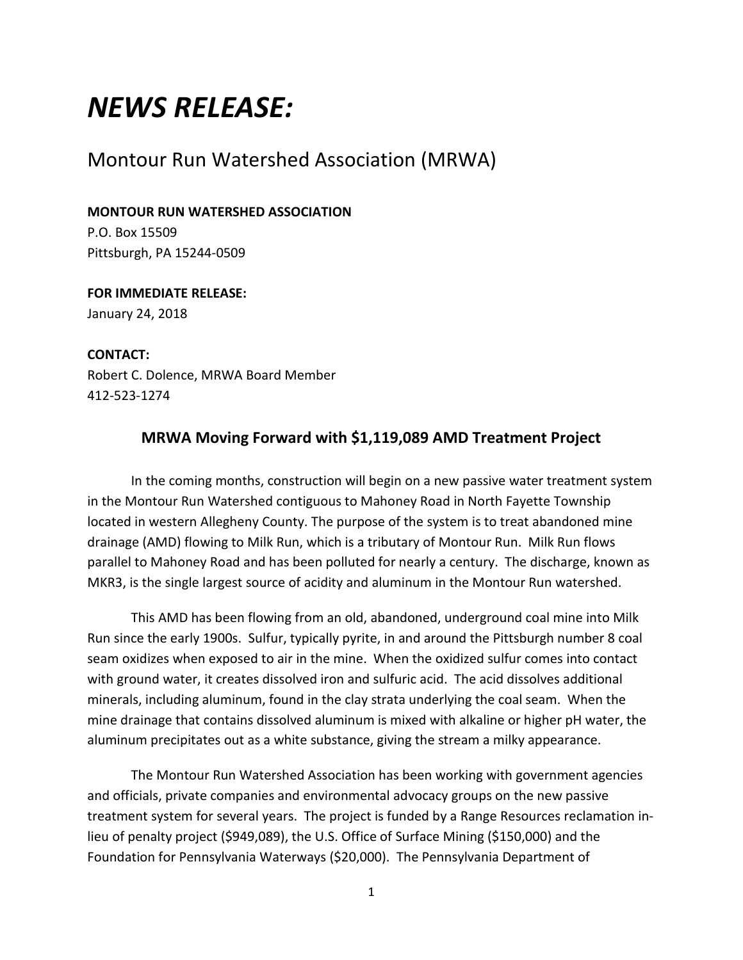# *NEWS RELEASE:*

# Montour Run Watershed Association (MRWA)

#### **MONTOUR RUN WATERSHED ASSOCIATION**

P.O. Box 15509 Pittsburgh, PA 15244-0509

### **FOR IMMEDIATE RELEASE:** January 24, 2018

**CONTACT:** Robert C. Dolence, MRWA Board Member 412-523-1274

## **MRWA Moving Forward with \$1,119,089 AMD Treatment Project**

In the coming months, construction will begin on a new passive water treatment system in the Montour Run Watershed contiguous to Mahoney Road in North Fayette Township located in western Allegheny County. The purpose of the system is to treat abandoned mine drainage (AMD) flowing to Milk Run, which is a tributary of Montour Run. Milk Run flows parallel to Mahoney Road and has been polluted for nearly a century. The discharge, known as MKR3, is the single largest source of acidity and aluminum in the Montour Run watershed.

This AMD has been flowing from an old, abandoned, underground coal mine into Milk Run since the early 1900s. Sulfur, typically pyrite, in and around the Pittsburgh number 8 coal seam oxidizes when exposed to air in the mine. When the oxidized sulfur comes into contact with ground water, it creates dissolved iron and sulfuric acid. The acid dissolves additional minerals, including aluminum, found in the clay strata underlying the coal seam. When the mine drainage that contains dissolved aluminum is mixed with alkaline or higher pH water, the aluminum precipitates out as a white substance, giving the stream a milky appearance.

The Montour Run Watershed Association has been working with government agencies and officials, private companies and environmental advocacy groups on the new passive treatment system for several years. The project is funded by a Range Resources reclamation inlieu of penalty project (\$949,089), the U.S. Office of Surface Mining (\$150,000) and the Foundation for Pennsylvania Waterways (\$20,000). The Pennsylvania Department of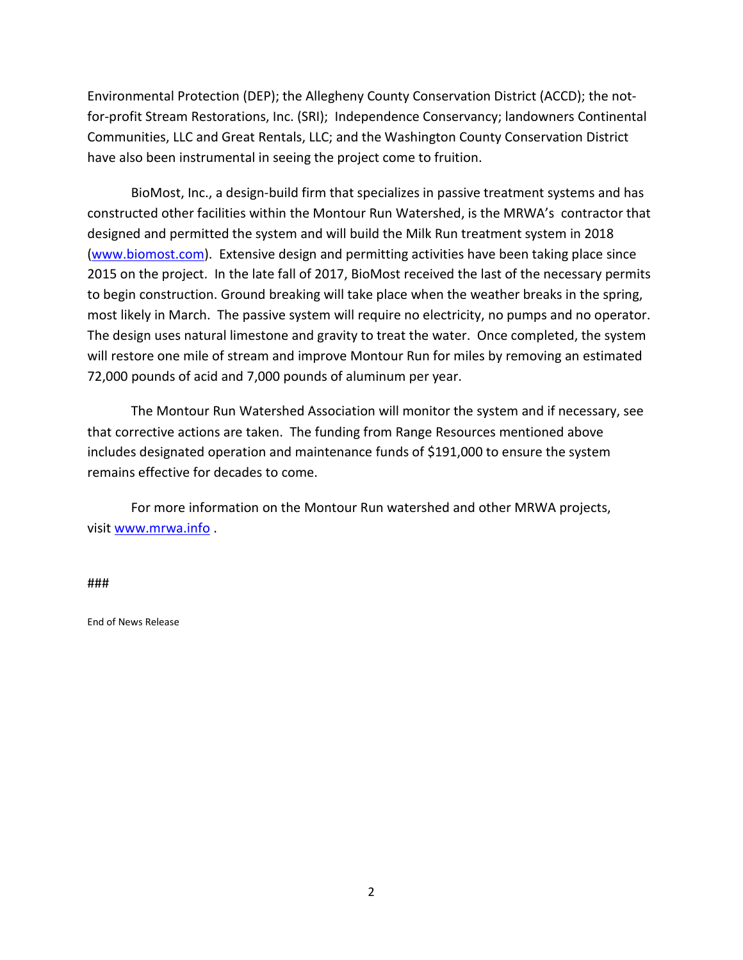Environmental Protection (DEP); the Allegheny County Conservation District (ACCD); the notfor-profit Stream Restorations, Inc. (SRI); Independence Conservancy; landowners Continental Communities, LLC and Great Rentals, LLC; and the Washington County Conservation District have also been instrumental in seeing the project come to fruition.

BioMost, Inc., a design-build firm that specializes in passive treatment systems and has constructed other facilities within the Montour Run Watershed, is the MRWA's contractor that designed and permitted the system and will build the Milk Run treatment system in 2018 [\(www.biomost.com\)](http://www.biomost.com/). Extensive design and permitting activities have been taking place since 2015 on the project. In the late fall of 2017, BioMost received the last of the necessary permits to begin construction. Ground breaking will take place when the weather breaks in the spring, most likely in March. The passive system will require no electricity, no pumps and no operator. The design uses natural limestone and gravity to treat the water. Once completed, the system will restore one mile of stream and improve Montour Run for miles by removing an estimated 72,000 pounds of acid and 7,000 pounds of aluminum per year.

The Montour Run Watershed Association will monitor the system and if necessary, see that corrective actions are taken. The funding from Range Resources mentioned above includes designated operation and maintenance funds of \$191,000 to ensure the system remains effective for decades to come.

For more information on the Montour Run watershed and other MRWA projects, visit [www.mrwa.info](http://www.mrwa.info/) .

###

End of News Release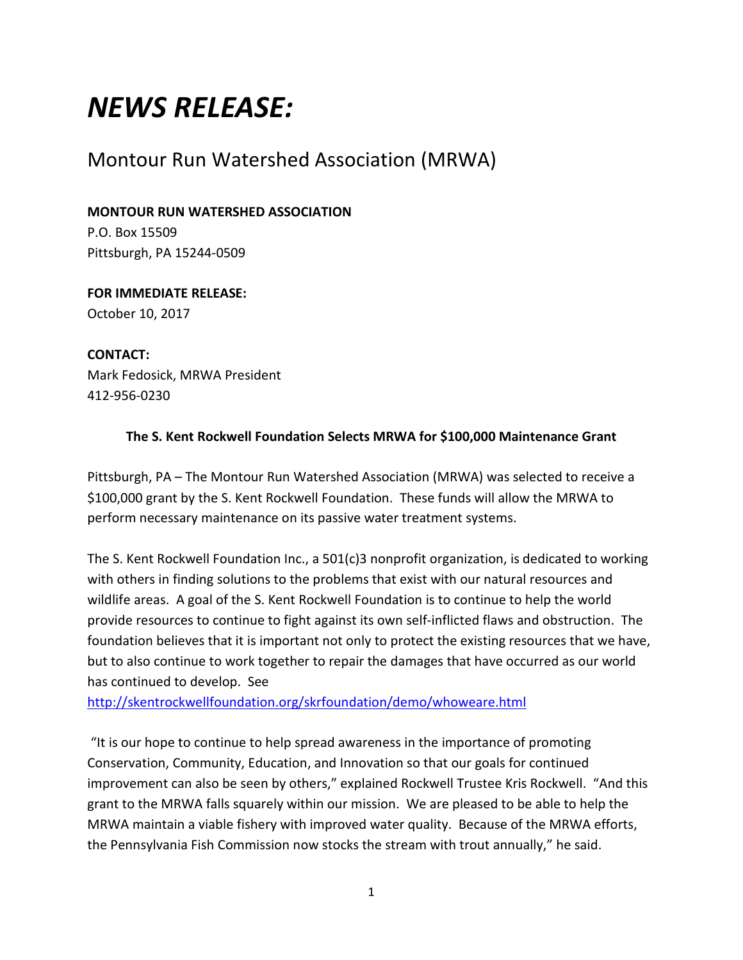# *NEWS RELEASE:*

# Montour Run Watershed Association (MRWA)

#### **MONTOUR RUN WATERSHED ASSOCIATION**

P.O. Box 15509 Pittsburgh, PA 15244-0509

## **FOR IMMEDIATE RELEASE:** October 10, 2017

### **CONTACT:**

Mark Fedosick, MRWA President 412-956-0230

### **The S. Kent Rockwell Foundation Selects MRWA for \$100,000 Maintenance Grant**

Pittsburgh, PA – The Montour Run Watershed Association (MRWA) was selected to receive a \$100,000 grant by the S. Kent Rockwell Foundation. These funds will allow the MRWA to perform necessary maintenance on its passive water treatment systems.

The S. Kent Rockwell Foundation Inc., a 501(c)3 nonprofit organization, is dedicated to working with others in finding solutions to the problems that exist with our natural resources and wildlife areas. A goal of the S. Kent Rockwell Foundation is to continue to help the world provide resources to continue to fight against its own self-inflicted flaws and obstruction. The foundation believes that it is important not only to protect the existing resources that we have, but to also continue to work together to repair the damages that have occurred as our world has continued to develop. See

<http://skentrockwellfoundation.org/skrfoundation/demo/whoweare.html>

"It is our hope to continue to help spread awareness in the importance of promoting Conservation, Community, Education, and Innovation so that our goals for continued improvement can also be seen by others," explained Rockwell Trustee Kris Rockwell. "And this grant to the MRWA falls squarely within our mission. We are pleased to be able to help the MRWA maintain a viable fishery with improved water quality. Because of the MRWA efforts, the Pennsylvania Fish Commission now stocks the stream with trout annually," he said.